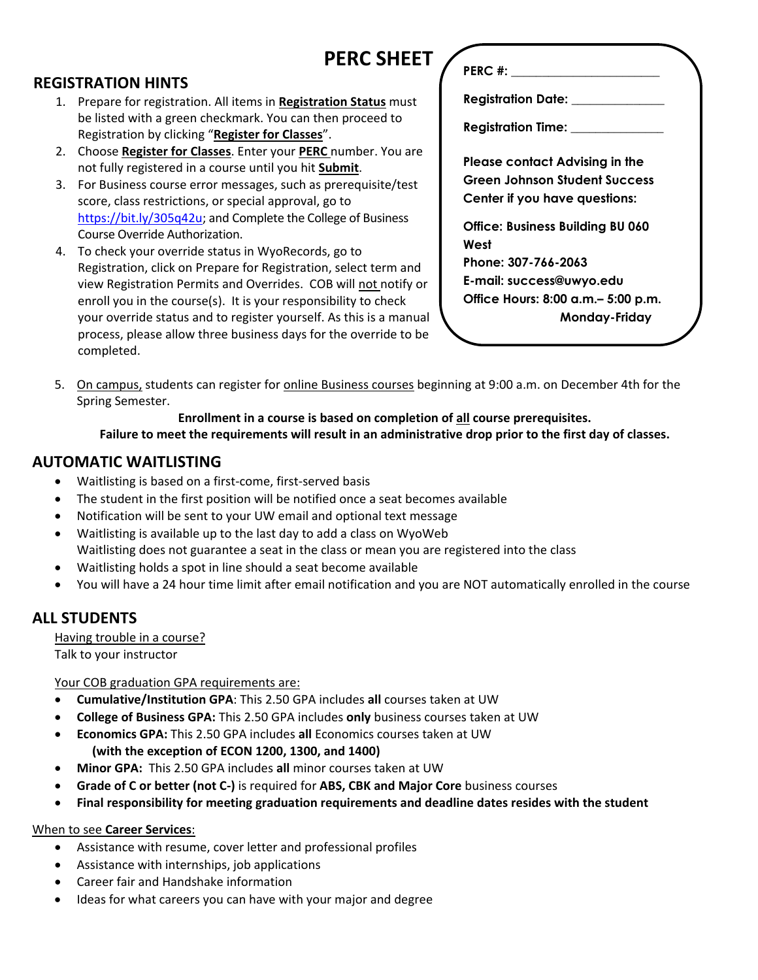# **PERC SHEET**

## **REGISTRATION HINTS**

- 1. Prepare for registration. All items in **Registration Status** must be listed with a green checkmark. You can then proceed to Registration by clicking "**Register for Classes**".
- 2. Choose **Register for Classes**. Enter your **PERC** number. You are not fully registered in a course until you hit **Submit**.
- 3. For Business course error messages, such as prerequisite/test score, class restrictions, or special approval, go to [https://bit.ly/305q42u;](https://bit.ly/305q42u) and Complete the College of Business Course Override Authorization.
- 4. To check your override status in WyoRecords, go to Registration, click on Prepare for Registration, select term and view Registration Permits and Overrides. COB will not notify or enroll you in the course(s). It is your responsibility to check your override status and to register yourself. As this is a manual process, please allow three business days for the override to be completed.

**PERC #:**  $\blacksquare$ 

**Registration Date: \_\_\_\_\_\_\_\_\_\_\_\_\_\_\_**

**Registration Time: \_\_\_\_\_\_\_\_\_\_\_\_\_\_\_**

**Please contact Advising in the Green Johnson Student Success Center if you have questions:**

**Office: Business Building BU 060 West Phone: 307-766-2063 E-mail: success@uwyo.edu Office Hours: 8:00 a.m.– 5:00 p.m. Monday-Friday**

5. On campus, students can register for online Business courses beginning at 9:00 a.m. on December 4th for the Spring Semester.

## **Enrollment in a course is based on completion of all course prerequisites.**

## **Failure to meet the requirements will result in an administrative drop prior to the first day of classes.**

## **AUTOMATIC WAITLISTING**

- Waitlisting is based on a first-come, first-served basis
- The student in the first position will be notified once a seat becomes available
- Notification will be sent to your UW email and optional text message
- Waitlisting is available up to the last day to add a class on WyoWeb Waitlisting does not guarantee a seat in the class or mean you are registered into the class
- Waitlisting holds a spot in line should a seat become available
- You will have a 24 hour time limit after email notification and you are NOT automatically enrolled in the course

## **ALL STUDENTS**

Having trouble in a course? Talk to your instructor

Your COB graduation GPA requirements are:

- **Cumulative/Institution GPA**: This 2.50 GPA includes **all** courses taken at UW
- **College of Business GPA:** This 2.50 GPA includes **only** business courses taken at UW
- **Economics GPA:** This 2.50 GPA includes **all** Economics courses taken at UW  **(with the exception of ECON 1200, 1300, and 1400)**
- **Minor GPA:** This 2.50 GPA includes **all** minor courses taken at UW
- **Grade of C or better (not C-)** is required for **ABS, CBK and Major Core** business courses
- **Final responsibility for meeting graduation requirements and deadline dates resides with the student**

## When to see **Career Services**:

- Assistance with resume, cover letter and professional profiles
- Assistance with internships, job applications
- Career fair and Handshake information
- Ideas for what careers you can have with your major and degree